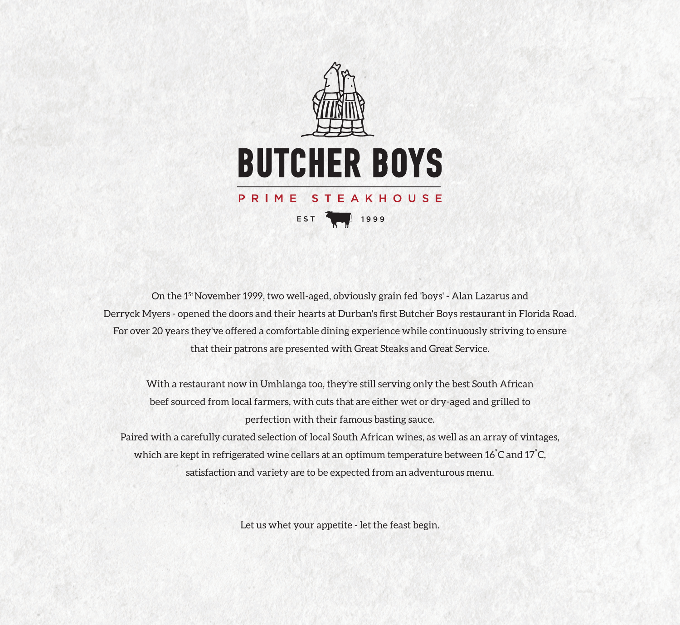

On the 1St November 1999, two well-aged, obviously grain fed 'boys' - Alan Lazarus and Derryck Myers - opened the doors and their hearts at Durban's first Butcher Boys restaurant in Florida Road. For over 20 years they've offered a comfortable dining experience while continuously striving to ensure that their patrons are presented with Great Steaks and Great Service.

With a restaurant now in Umhlanga too, they're still serving only the best South African beef sourced from local farmers, with cuts that are either wet or dry-aged and grilled to perfection with their famous basting sauce.

Paired with a carefully curated selection of local South African wines, as well as an array of vintages, which are kept in refrigerated wine cellars at an optimum temperature between 16 $\degree$ C and 17 $\degree$ C, satisfaction and variety are to be expected from an adventurous menu.

Let us whet your appetite - let the feast begin.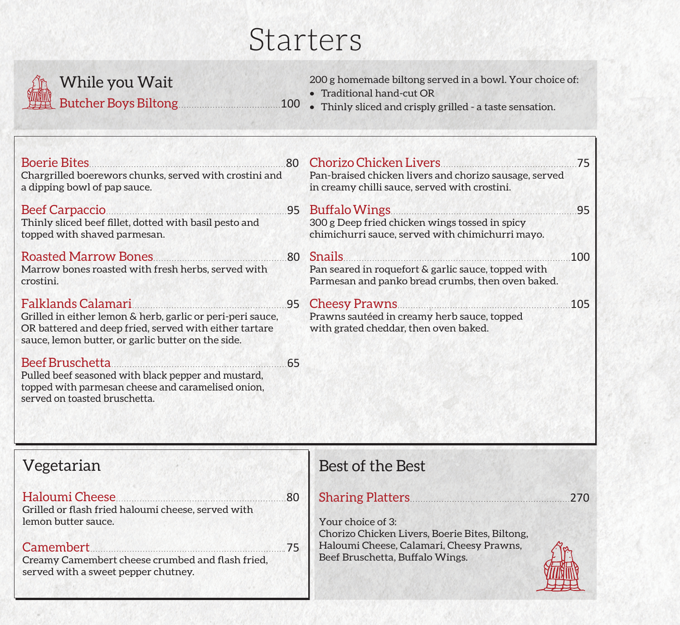# Starters



# While you Wait Butcher Boys Biltong.......................................100

200 g homemade biltong served in a bowl. Your choice of:

- Traditional hand-cut OR
- Thinly sliced and crisply grilled a taste sensation.

| <b>Boerie Bites</b><br>Chargrilled boerewors chunks, served with crostini and<br>a dipping bowl of pap sauce.                                                                                    | <b>80</b> | Chorizo Chicken Livers<br>Pan-braised chicken livers and chorizo sausage, served<br>in creamy chilli sauce, served with crostini. | 75  |
|--------------------------------------------------------------------------------------------------------------------------------------------------------------------------------------------------|-----------|-----------------------------------------------------------------------------------------------------------------------------------|-----|
| Beef Carpaccio 2008 25 Buffalo Wings<br>Thinly sliced beef fillet, dotted with basil pesto and<br>topped with shaved parmesan.                                                                   |           | 300 g Deep fried chicken wings tossed in spicy<br>chimichurri sauce, served with chimichurri mayo.                                | .95 |
| Roasted Marrow Bones<br>Marrow bones roasted with fresh herbs, served with<br>crostini.                                                                                                          | .80       | <b>Snails</b><br>Pan seared in roquefort & garlic sauce, topped with<br>Parmesan and panko bread crumbs, then oven baked.         | 100 |
| Falklands Calamari<br>Grilled in either lemon & herb, garlic or peri-peri sauce,<br>OR battered and deep fried, served with either tartare<br>sauce, lemon butter, or garlic butter on the side. |           | 95 Cheesy Prawns<br>Prawns sautéed in creamy herb sauce, topped<br>with grated cheddar, then oven baked.                          | 105 |
| Beef Bruschetta<br>Pulled beef seasoned with black pepper and mustard,<br>topped with parmesan cheese and caramelised onion,<br>served on toasted bruschetta.                                    | 65        |                                                                                                                                   |     |

| Vegetarian                                                                                                 | Best of the Best                                                            |
|------------------------------------------------------------------------------------------------------------|-----------------------------------------------------------------------------|
| Haloumi Cheese.<br>.80<br>Grilled or flash fried haloumi cheese, served with                               | <b>Sharing Platters</b> .<br>270                                            |
| lemon butter sauce.                                                                                        | Your choice of 3:<br>Chorizo Chicken Livers, Boerie Bites, Biltong,         |
| Camembert<br>75<br>Creamy Camembert cheese crumbed and flash fried,<br>served with a sweet pepper chutney. | Haloumi Cheese, Calamari, Cheesy Prawns,<br>Beef Bruschetta, Buffalo Wings. |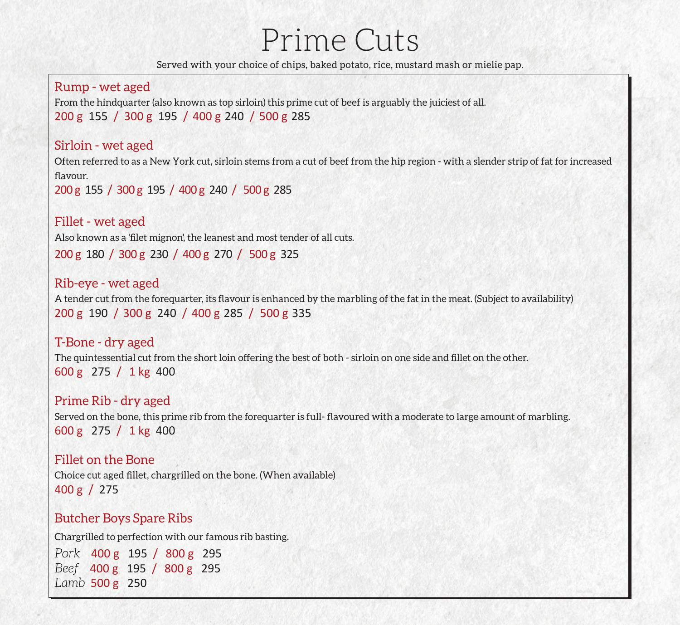# Prime Cuts

Served with your choice of chips, baked potato, rice, mustard mash or mielie pap.

#### Rump - wet aged

From the hindquarter (also known as top sirloin) this prime cut of beef is arguably the juiciest of all. 200 g 155 / 300 g 195 / 400 g 240 / 500 g 285

#### Sirloin - wet aged

Often referred to as a New York cut, sirloin stems from a cut of beef from the hip region - with a slender strip of fat for increased flavour.

200 g 155 / 300 g 195 / 400 g 240 / 500 g 285

#### Fillet - wet aged

Also known as a 'filet mignon', the leanest and most tender of all cuts.

200 g 180 / 300 g 230 / 400 g 270 / 500 g 325

#### Rib-eye - wet aged

A tender cut from the forequarter, its flavour is enhanced by the marbling of the fat in the meat. (Subject to availability) 200 g 190 / 300 g 240 / 400 g 285 / 500 g 335

#### T-Bone - dry aged The quintessential cut from the short loin offering the best of both - sirloin on one side and fillet on the other. 600 g 275 / 1 kg 400

Prime Rib - dry aged Served on the bone, this prime rib from the forequarter is full- flavoured with a moderate to large amount of marbling.

600 g 275 / 1 kg 400

#### Fillet on the Bone

Choice cut aged fillet, chargrilled on the bone. (When available) 400 g / 275

### Butcher Boys Spare Ribs

Chargrilled to perfection with our famous rib basting.

*Pork* 400 g 195 / 800 g 295 *Beef* 400 g 195 / 800 g 295 *Lamb* 500 g 250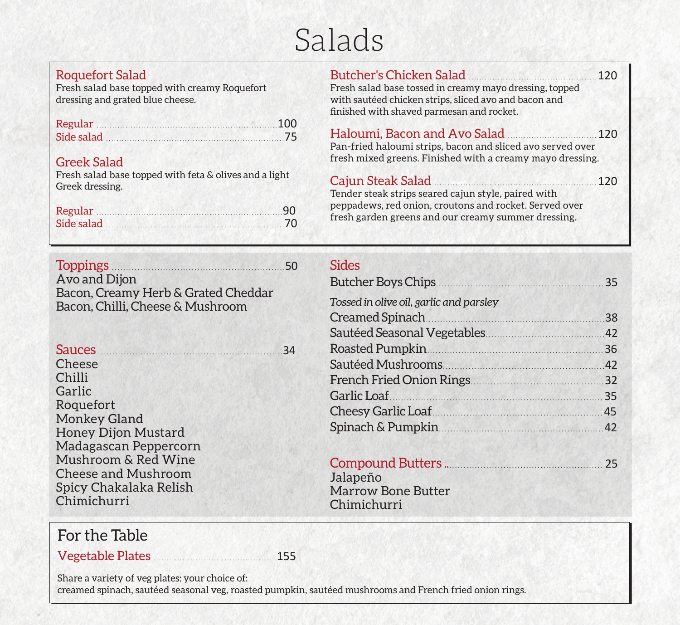# Salads

### Roquefort Salad

Fresh salad base topped with creamy Roquefort dressing and grated blue cheese.

| Regular 100   |  |
|---------------|--|
| Side salad 75 |  |

#### Greek Salad

Fresh salad base topped with feta & olives and a light Greek dressing.

| Regular 90    |  |
|---------------|--|
| Side salad 70 |  |

Butcher's Chicken Salad .................................................120 Fresh salad base tossed in creamy mayo dressing, topped with sautéed chicken strips, sliced avo and bacon and finished with shaved parmesan and rocket.

## Haloumi, Bacon and Avo Salad ..................................120

Pan-fried haloumi strips, bacon and sliced avo served over fresh mixed greens. Finished with a creamy mayo dressing.

#### Cajun Steak Salad ..............................................................120 Tender steak strips seared cajun style, paired with peppadews, red onion, croutons and rocket. Served over

fresh garden greens and our creamy summer dressing.

| <b>Toppings</b><br>Avo and Dijon<br>Bacon, Creamy Herb & Grated Cheddar                 | .50 | <b>Sides</b><br>Butcher Boys Chips<br>Tossed in olive oil, garlic and parsley | 35 |
|-----------------------------------------------------------------------------------------|-----|-------------------------------------------------------------------------------|----|
| Bacon, Chilli, Cheese & Mushroom                                                        |     | Creamed Spinach                                                               | 38 |
|                                                                                         |     |                                                                               |    |
| Sauces <b>Exercises</b> Sauces <b>Sauces Exercise Sauces</b>                            | 34  | Roasted Pumpkin                                                               |    |
| Cheese                                                                                  |     |                                                                               |    |
| Chilli                                                                                  |     | French Fried Onion Rings                                                      |    |
| Garlic                                                                                  |     | Garlic Loaf<br>35                                                             |    |
| Roquefort<br><b>Monkey Gland</b><br><b>Honey Dijon Mustard</b><br>Madagascan Peppercorn |     | Cheesy Garlic Loaf 45                                                         |    |
|                                                                                         |     | Spinach & Pumpkin                                                             |    |
|                                                                                         |     |                                                                               |    |
| Mushroom & Red Wine                                                                     |     |                                                                               | 25 |
| <b>Cheese and Mushroom</b>                                                              |     | Jalapeño                                                                      |    |
| Spicy Chakalaka Relish                                                                  |     | <b>Marrow Bone Butter</b>                                                     |    |
| Chimichurri                                                                             |     | Chimichurri                                                                   |    |
| For the Table                                                                           |     |                                                                               |    |
| Vegetable Plates                                                                        |     |                                                                               |    |

Share a variety of veg plates: your choice of:

creamed spinach, sautéed seasonal veg, roasted pumpkin, sautéed mushrooms and French fried onion rings.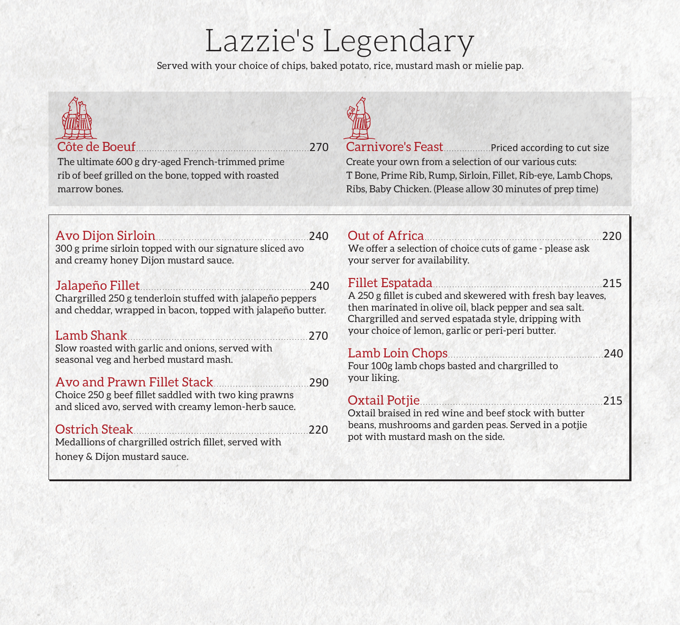# Lazzie's Legendary

Served with your choice of chips, baked potato, rice, mustard mash or mielie pap.

| Côte de Boeuf<br>The ultimate 600 g dry-aged French-trimmed prime<br>rib of beef grilled on the bone, topped with roasted<br>marrow bones.                                                                              | .270       | Carnivore's Feast Priced according to cut size<br>Create your own from a selection of our various cuts:<br>T Bone, Prime Rib, Rump, Sirloin, Fillet, Rib-eye, Lamb Chops,<br>Ribs, Baby Chicken. (Please allow 30 minutes of prep time)                |      |
|-------------------------------------------------------------------------------------------------------------------------------------------------------------------------------------------------------------------------|------------|--------------------------------------------------------------------------------------------------------------------------------------------------------------------------------------------------------------------------------------------------------|------|
| Avo Dijon Sirloin 240<br>300 g prime sirloin topped with our signature sliced avo<br>and creamy honey Dijon mustard sauce.                                                                                              |            | Out of Africa<br>We offer a selection of choice cuts of game - please ask<br>your server for availability.                                                                                                                                             | .220 |
| Jalapeño Fillet<br>Chargrilled 250 g tenderloin stuffed with jalapeño peppers<br>and cheddar, wrapped in bacon, topped with jalapeño butter.<br>Lamb Shank                                                              | 240<br>270 | Fillet Espatada<br>A 250 g fillet is cubed and skewered with fresh bay leaves,<br>then marinated in olive oil, black pepper and sea salt.<br>Chargrilled and served espatada style, dripping with<br>your choice of lemon, garlic or peri-peri butter. | 215  |
| Slow roasted with garlic and onions, served with<br>seasonal veg and herbed mustard mash.<br>Avo and Prawn Fillet Stack                                                                                                 | 290        | Four 100g lamb chops basted and chargrilled to<br>your liking.                                                                                                                                                                                         | 240  |
| Choice 250 g beef fillet saddled with two king prawns<br>and sliced avo, served with creamy lemon-herb sauce.<br>Ostrich Steak<br>Medallions of chargrilled ostrich fillet, served with<br>honey & Dijon mustard sauce. | 220        | Oxtail Potjie<br>Oxtail braised in red wine and beef stock with butter<br>beans, mushrooms and garden peas. Served in a potjie<br>pot with mustard mash on the side.                                                                                   | 215  |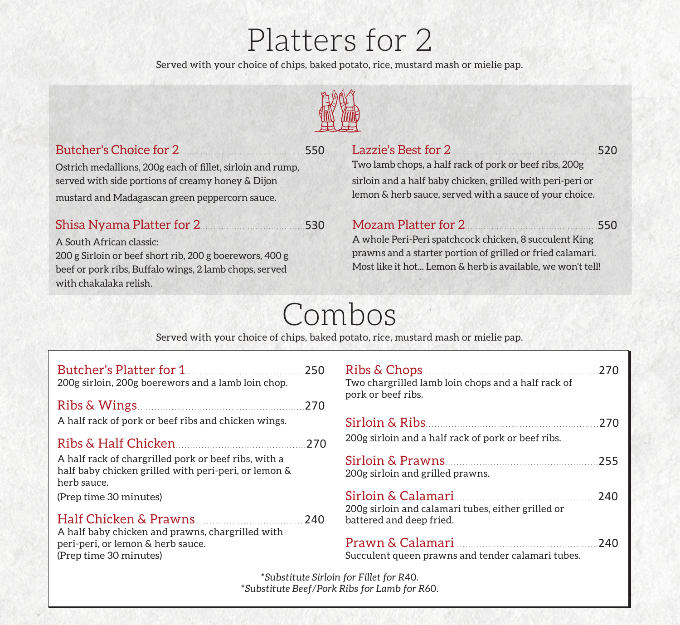# Platters for 2

Served with your choice of chips, baked potato, rice, mustard mash or mielie pap.



## Butcher's Choice for 2 ...............................................550

Ostrich medallions, 200g each of fillet, sirloin and rump, served with side portions of creamy honey & Dijon mustard and Madagascan green peppercorn sauce.

## Shisa Nyama Platter for 2........................................530

A South African classic: 200 g Sirloin or beef short rib, 200 g boerewors, 400 g beef or pork ribs, Buffalo wings, 2 lamb chops, served with chakalaka relish.

## Lazzie's Best for 2 .......................................................520 Two lamb chops, a half rack of pork or beef ribs, 200g sirloin and a half baby chicken, grilled with peri-peri or lemon & herb sauce, served with a sauce of your choice.

# Mozam Platter for 2................................................. .550

A whole Peri-Peri spatchcock chicken, 8 succulent King prawns and a starter portion of grilled or fried calamari. Most like it hot... Lemon & herb is available, we won't tell!

# Combos

Served with your choice of chips, baked potato, rice, mustard mash or mielie pap.

| 200g sirloin, 200g boerewors and a lamb loin chop.                                                                                                    | 250               |
|-------------------------------------------------------------------------------------------------------------------------------------------------------|-------------------|
| A half rack of pork or beef ribs and chicken wings.                                                                                                   | 270               |
| A half rack of chargrilled pork or beef ribs, with a<br>half baby chicken grilled with peri-peri, or lemon &<br>herb sauce.<br>(Prep time 30 minutes) | 270               |
| A half baby chicken and prawns, chargrilled with<br>peri-peri, or lemon & herb sauce.<br>(Prep time 30 minutes)                                       | 240               |
|                                                                                                                                                       | *Substitute Sirlo |

| Two chargrilled lamb loin chops and a half rack of<br>pork or beef ribs.       | 270  |
|--------------------------------------------------------------------------------|------|
| 200g sirloin and a half rack of pork or beef ribs.                             | 270  |
| 200g sirloin and grilled prawns.                                               | .255 |
| 200g sirloin and calamari tubes, either grilled or<br>battered and deep fried. |      |
| Succulent queen prawns and tender calamari tubes.                              | -240 |

 $\frac{S}{T}$  for Fillet for R40. \**Substitute Beef/Pork Ribs for Lamb for R*60.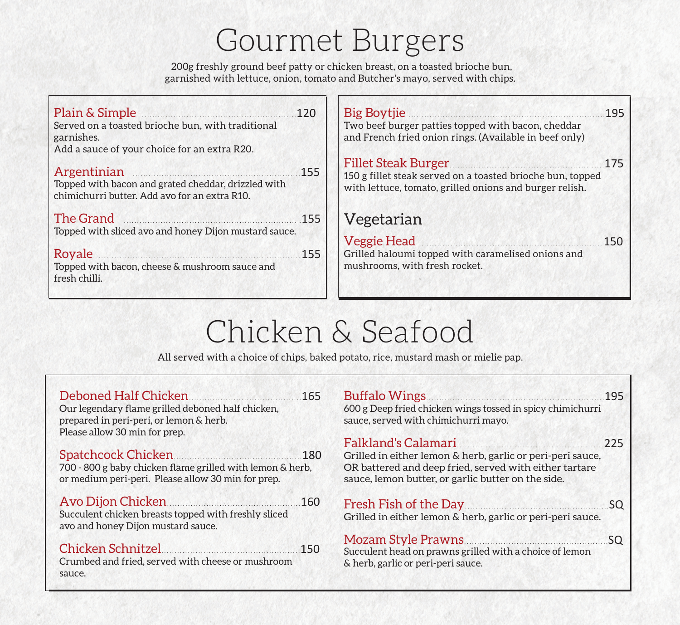# Gourmet Burgers

200g freshly ground beef patty or chicken breast, on a toasted brioche bun, garnished with lettuce, onion, tomato and Butcher's mayo, served with chips.

| Plain & Simple 120<br>Served on a toasted brioche bun, with traditional<br>garnishes.<br>Add a sauce of your choice for an extra R20. |      | Big Boytjie <u>2008</u> 195<br>Two beef burger patties topped with bacon, cheddar<br>and French fried onion rings. (Available in beef only) |             |
|---------------------------------------------------------------------------------------------------------------------------------------|------|---------------------------------------------------------------------------------------------------------------------------------------------|-------------|
| Argentinian<br>Topped with bacon and grated cheddar, drizzled with<br>chimichurri butter. Add avo for an extra R10.                   | .155 | 150 g fillet steak served on a toasted brioche bun, topped<br>with lettuce, tomato, grilled onions and burger relish.                       |             |
| The Grand 155<br>Topped with sliced avo and honey Dijon mustard sauce.                                                                |      | Vegetarian                                                                                                                                  |             |
|                                                                                                                                       |      | Veggie Head <b>Manual</b>                                                                                                                   | $\dots$ 150 |
| Royale<br>Topped with bacon, cheese & mushroom sauce and<br>fresh chilli.                                                             | .155 | Grilled haloumi topped with caramelised onions and<br>mushrooms, with fresh rocket.                                                         |             |

# Chicken & Seafood

All served with a choice of chips, baked potato, rice, mustard mash or mielie pap.

| Our legendary flame grilled deboned half chicken,<br>prepared in peri-peri, or lemon & herb.<br>Please allow 30 min for prep. | 600 g Deep fried chicken wings tossed in spicy chimichurri<br>sauce, served with chimichurri mayo.                                                                                                    |     |
|-------------------------------------------------------------------------------------------------------------------------------|-------------------------------------------------------------------------------------------------------------------------------------------------------------------------------------------------------|-----|
| 700 - 800 g baby chicken flame grilled with lemon & herb,<br>or medium peri-peri. Please allow 30 min for prep.               | Falkland's Calamari 225<br>Grilled in either lemon & herb, garlic or peri-peri sauce,<br>OR battered and deep fried, served with either tartare<br>sauce, lemon butter, or garlic butter on the side. |     |
| Avo Dijon Chicken<br>.160<br>Succulent chicken breasts topped with freshly sliced<br>avo and honey Dijon mustard sauce.       | Fresh Fish of the Day<br>Grilled in either lemon & herb, garlic or peri-peri sauce.                                                                                                                   |     |
| Crumbed and fried, served with cheese or mushroom<br>sauce.                                                                   | Mozam Style Prawns<br>Succulent head on prawns grilled with a choice of lemon<br>& herb, garlic or peri-peri sauce.                                                                                   | .SQ |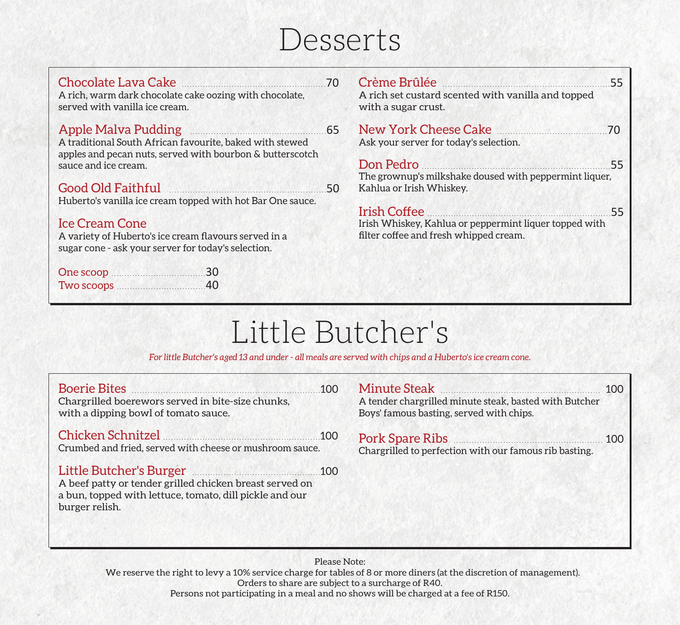# Desserts

| Chocolate Lava Cake 2020<br>A rich, warm dark chocolate cake oozing with chocolate,<br>served with vanilla ice cream.                                                  | Crème Brûlée<br>A rich set custard scented with vanilla and topped<br>with a sugar crust. | .55 |
|------------------------------------------------------------------------------------------------------------------------------------------------------------------------|-------------------------------------------------------------------------------------------|-----|
| Apple Malva Pudding 2008. Apple Malva Pudding<br>A traditional South African favourite, baked with stewed<br>apples and pecan nuts, served with bourbon & butterscotch | New York Cheese Cake<br>Ask your server for today's selection.                            | 70  |
| sauce and ice cream.                                                                                                                                                   | Don Pedro<br>The grownup's milkshake doused with peppermint liquer,                       | .55 |
| Good Old Faithful 50                                                                                                                                                   | Kahlua or Irish Whiskey.                                                                  |     |
| Huberto's vanilla ice cream topped with hot Bar One sauce.                                                                                                             | Irish Coffee                                                                              | 55  |
| <b>Ice Cream Cone</b>                                                                                                                                                  | Irish Whiskey, Kahlua or peppermint liquer topped with                                    |     |
| A variety of Huberto's ice cream flavours served in a<br>sugar cone - ask your server for today's selection.                                                           | filter coffee and fresh whipped cream.                                                    |     |
| One scoop 30                                                                                                                                                           |                                                                                           |     |
|                                                                                                                                                                        |                                                                                           |     |
|                                                                                                                                                                        |                                                                                           |     |

# Little Butcher's

*For little Butcher's aged 13 and under - all meals are served with chips and a Huberto's ice cream cone.*

| Boerie Bites<br>Chargrilled boerewors served in bite-size chunks,<br>with a dipping bowl of tomato sauce.                                                                 | 100 | Minute Steak<br>A tender chargrilled minute steak, basted with Butcher<br>Boys' famous basting, served with chips. | 100 |
|---------------------------------------------------------------------------------------------------------------------------------------------------------------------------|-----|--------------------------------------------------------------------------------------------------------------------|-----|
| Chicken Schnitzel 200<br>Crumbed and fried, served with cheese or mushroom sauce.                                                                                         |     | Pork Spare Ribs<br>Chargrilled to perfection with our famous rib basting.                                          | 100 |
| Little Butcher's Burger (100) 100<br>A beef patty or tender grilled chicken breast served on<br>a bun, topped with lettuce, tomato, dill pickle and our<br>burger relish. |     |                                                                                                                    |     |

Please Note: We reserve the right to levy a 10% service charge for tables of 8 or more diners (at the discretion of management). Orders to share are subject to a surcharge of R40. Persons not participating in a meal and no shows will be charged at a fee of R150.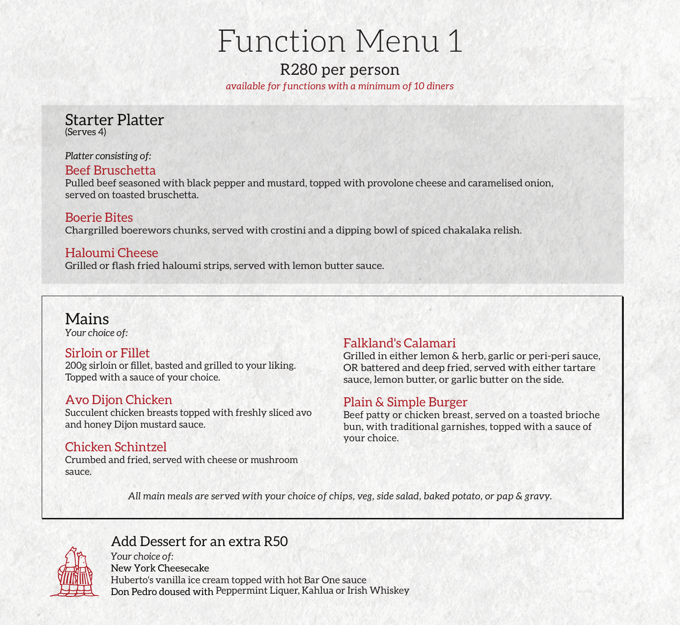# Function Menu 1

### R280 per person *available for functions with a minimum of 10 diners*

Starter Platter (Serves 4)

*Platter consisting of:*

### Beef Bruschetta

Pulled beef seasoned with black pepper and mustard, topped with provolone cheese and caramelised onion, served on toasted bruschetta.

#### Boerie Bites

Chargrilled boerewors chunks, served with crostini and a dipping bowl of spiced chakalaka relish.

### Haloumi Cheese

Grilled or flash fried haloumi strips, served with lemon butter sauce.

# Mains

*Your choice of:* 

### Sirloin or Fillet

200g sirloin or fillet, basted and grilled to your liking. Topped with a sauce of your choice.

### Avo Dijon Chicken

Succulent chicken breasts topped with freshly sliced avo and honey Dijon mustard sauce.

### Chicken Schintzel

Crumbed and fried, served with cheese or mushroom sauce.

## Falkland's Calamari

Grilled in either lemon & herb, garlic or peri-peri sauce, OR battered and deep fried, served with either tartare sauce, lemon butter, or garlic butter on the side.

## Plain & Simple Burger

Beef patty or chicken breast, served on a toasted brioche bun, with traditional garnishes, topped with a sauce of your choice.

*All main meals are served with your choice of chips, veg, side salad, baked potato, or pap & gravy.*



## Add Dessert for an extra R50

*Your choice of:*  New York Cheesecake Huberto's vanilla ice cream topped with hot Bar One sauce Don Pedro doused with Peppermint Liquer, Kahlua or Irish Whiskey